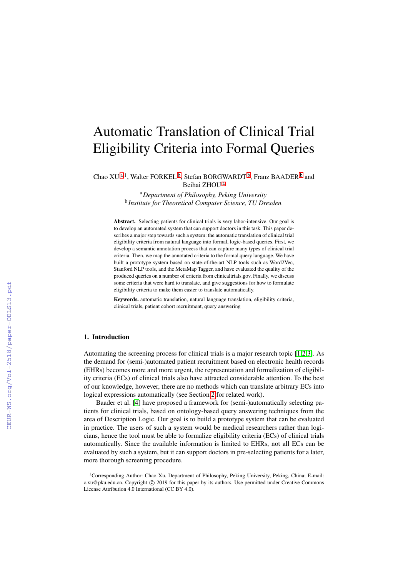# Automatic Translation of Clinical Trial Eligibility Criteria into Formal Queries

<span id="page-0-1"></span><span id="page-0-0"></span>Ch[a](#page-0-0)o XU<sup>a, 1</sup>, Walter FORKEL<sup>[b](#page-0-1)</sup>, Stefan BORGWARDT<sup>b</sup>, Franz BAADER<sup>b</sup> and Beihai ZHOU [a](#page-0-0)

> <sup>a</sup>*Department of Philosophy, Peking University* b *Institute for Theoretical Computer Science, TU Dresden*

Abstract. Selecting patients for clinical trials is very labor-intensive. Our goal is to develop an automated system that can support doctors in this task. This paper describes a major step towards such a system: the automatic translation of clinical trial eligibility criteria from natural language into formal, logic-based queries. First, we develop a semantic annotation process that can capture many types of clinical trial criteria. Then, we map the annotated criteria to the formal query language. We have built a prototype system based on state-of-the-art NLP tools such as Word2Vec, Stanford NLP tools, and the MetaMap Tagger, and have evaluated the quality of the produced queries on a number of criteria from clinicaltrials.gov. Finally, we discuss some criteria that were hard to translate, and give suggestions for how to formulate eligibility criteria to make them easier to translate automatically.

Keywords. automatic translation, natural language translation, eligibility criteria, clinical trials, patient cohort recruitment, query answering

#### 1. Introduction

Automating the screening process for clinical trials is a major research topic [\[1](#page--1-0)[,2](#page--1-1)[,3\]](#page--1-2). As the demand for (semi-)automated patient recruitment based on electronic health records (EHRs) becomes more and more urgent, the representation and formalization of eligibility criteria (ECs) of clinical trials also have attracted considerable attention. To the best of our knowledge, however, there are no methods which can translate arbitrary ECs into logical expressions automatically (see Section [2](#page--1-3) for related work).

Baader et al. [\[4\]](#page--1-4) have proposed a framework for (semi-)automatically selecting patients for clinical trials, based on ontology-based query answering techniques from the area of Description Logic. Our goal is to build a prototype system that can be evaluated in practice. The users of such a system would be medical researchers rather than logicians, hence the tool must be able to formalize eligibility criteria (ECs) of clinical trials automatically. Since the available information is limited to EHRs, not all ECs can be evaluated by such a system, but it can support doctors in pre-selecting patients for a later, more thorough screening procedure.

<sup>&</sup>lt;sup>1</sup>Corresponding Author: Chao Xu, Department of Philosophy, Peking University, Peking, China; E-mail: c.xu@pku.edu.cn. Copyright © 2019 for this paper by its authors. Use permitted under Creative Commons License Attribution 4.0 International (CC BY 4.0).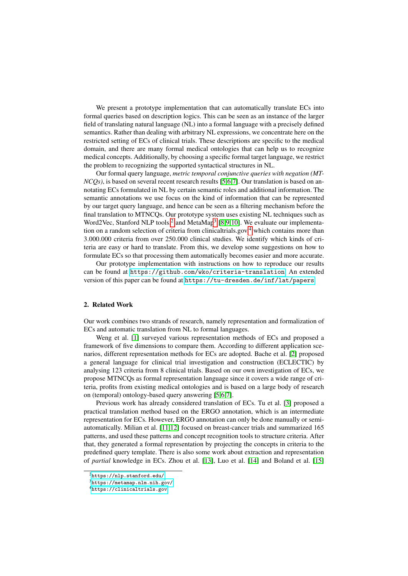We present a prototype implementation that can automatically translate ECs into formal queries based on description logics. This can be seen as an instance of the larger field of translating natural language (NL) into a formal language with a precisely defined semantics. Rather than dealing with arbitrary NL expressions, we concentrate here on the restricted setting of ECs of clinical trials. These descriptions are specific to the medical domain, and there are many formal medical ontologies that can help us to recognize medical concepts. Additionally, by choosing a specific formal target language, we restrict the problem to recognizing the supported syntactical structures in NL.

Our formal query language, *metric temporal conjunctive queries with negation (MT-NCQs*), is based on several recent research results [\[5,](#page-11-0)[6,](#page-11-1)[7\]](#page-11-2). Our translation is based on annotating ECs formulated in NL by certain semantic roles and additional information. The semantic annotations we use focus on the kind of information that can be represented by our target query language, and hence can be seen as a filtering mechanism before the final translation to MTNCQs. Our prototype system uses existing NL techniques such as Word[2](#page-1-0)Vec, Stanford NLP tools,<sup>2</sup> and MetaMap<sup>[3](#page-1-1)</sup> [\[8,](#page-11-3)[9,](#page-11-4)[10\]](#page-11-5). We evaluate our implementa-tion on a random selection of criteria from clinicaltrials.gov,<sup>[4](#page-1-2)</sup> which contains more than 3.000.000 criteria from over 250.000 clinical studies. We identify which kinds of criteria are easy or hard to translate. From this, we develop some suggestions on how to formulate ECs so that processing them automatically becomes easier and more accurate.

Our prototype implementation with instructions on how to reproduce our results can be found at <https://github.com/wko/criteria-translation>. An extended version of this paper can be found at <https://tu-dresden.de/inf/lat/papers>.

#### 2. Related Work

Our work combines two strands of research, namely representation and formalization of ECs and automatic translation from NL to formal languages.

Weng et al. [\[1\]](#page-10-0) surveyed various representation methods of ECs and proposed a framework of five dimensions to compare them. According to different application scenarios, different representation methods for ECs are adopted. Bache et al. [\[2\]](#page-11-6) proposed a general language for clinical trial investigation and construction (ECLECTIC) by analysing 123 criteria from 8 clinical trials. Based on our own investigation of ECs, we propose MTNCQs as formal representation language since it covers a wide range of criteria, profits from existing medical ontologies and is based on a large body of research on (temporal) ontology-based query answering [\[5,](#page-11-0)[6,](#page-11-1)[7\]](#page-11-2).

Previous work has already considered translation of ECs. Tu et al. [\[3\]](#page-11-7) proposed a practical translation method based on the ERGO annotation, which is an intermediate representation for ECs. However, ERGO annotation can only be done manually or semiautomatically. Milian et al. [\[11,](#page-11-8)[12\]](#page-11-9) focused on breast-cancer trials and summarized 165 patterns, and used these patterns and concept recognition tools to structure criteria. After that, they generated a formal representation by projecting the concepts in criteria to the predefined query template. There is also some work about extraction and representation of *partial* knowledge in ECs. Zhou et al. [\[13\]](#page-11-10), Luo et al. [\[14\]](#page-11-11) and Boland et al. [\[15\]](#page-11-12)

<span id="page-1-0"></span> $^{2}$ <https://nlp.stanford.edu/>

<span id="page-1-1"></span><sup>3</sup><https://metamap.nlm.nih.gov/>

<span id="page-1-2"></span><sup>4</sup><https://clinicaltrials.gov>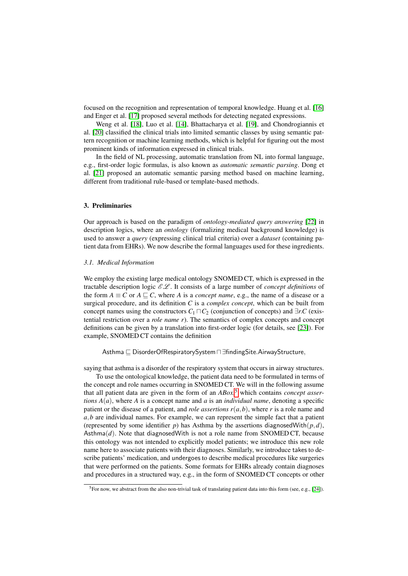focused on the recognition and representation of temporal knowledge. Huang et al. [\[16\]](#page-11-13) and Enger et al. [\[17\]](#page-11-14) proposed several methods for detecting negated expressions.

Weng et al. [\[18\]](#page-11-15), Luo et al. [\[14\]](#page-11-11), Bhattacharya et al. [\[19\]](#page-11-16), and Chondrogiannis et al. [\[20\]](#page-11-17) classified the clinical trials into limited semantic classes by using semantic pattern recognition or machine learning methods, which is helpful for figuring out the most prominent kinds of information expressed in clinical trials.

In the field of NL processing, automatic translation from NL into formal language, e.g., first-order logic formulas, is also known as *automatic semantic parsing*. Dong et al. [\[21\]](#page-11-18) proposed an automatic semantic parsing method based on machine learning, different from traditional rule-based or template-based methods.

# 3. Preliminaries

Our approach is based on the paradigm of *ontology-mediated query answering* [\[22\]](#page-11-19) in description logics, where an *ontology* (formalizing medical background knowledge) is used to answer a *query* (expressing clinical trial criteria) over a *dataset* (containing patient data from EHRs). We now describe the formal languages used for these ingredients.

#### *3.1. Medical Information*

We employ the existing large medical ontology SNOMED CT, which is expressed in the tractable description logic  $\mathcal{EL}$ . It consists of a large number of *concept definitions* of the form  $A \equiv C$  or  $A \sqsubseteq C$ , where *A* is a *concept name*, e.g., the name of a disease or a surgical procedure, and its definition *C* is a *complex concept*, which can be built from concept names using the constructors  $C_1 \sqcap C_2$  (conjunction of concepts) and  $\exists r.C$  (existential restriction over a *role name r*). The semantics of complex concepts and concept definitions can be given by a translation into first-order logic (for details, see [\[23\]](#page-11-20)). For example, SNOMED CT contains the definition

Asthma  $\sqsubseteq$  DisorderOfRespiratorySystem  $\sqcap \exists$ findingSite.AirwayStructure,

saying that asthma is a disorder of the respiratory system that occurs in airway structures.

To use the ontological knowledge, the patient data need to be formulated in terms of the concept and role names occurring in SNOMED CT. We will in the following assume that all patient data are given in the form of an *ABox*, [5](#page-2-0) which contains *concept assertions*  $A(a)$ , where *A* is a concept name and *a* is an *individual name*, denoting a specific patient or the disease of a patient, and *role assertions r*(*a*,*b*), where *r* is a role name and *a*,*b* are individual names. For example, we can represent the simple fact that a patient (represented by some identifier *p*) has Asthma by the assertions diagnosedWith $(p,d)$ , Asthma(*d*). Note that diagnosedWith is not a role name from SNOMED CT, because this ontology was not intended to explicitly model patients; we introduce this new role name here to associate patients with their diagnoses. Similarly, we introduce takes to describe patients' medication, and undergoes to describe medical procedures like surgeries that were performed on the patients. Some formats for EHRs already contain diagnoses and procedures in a structured way, e.g., in the form of SNOMED CT concepts or other

<span id="page-2-0"></span> ${}^{5}$ For now, we abstract from the also non-trivial task of translating patient data into this form (see, e.g., [\[24\]](#page-11-21)).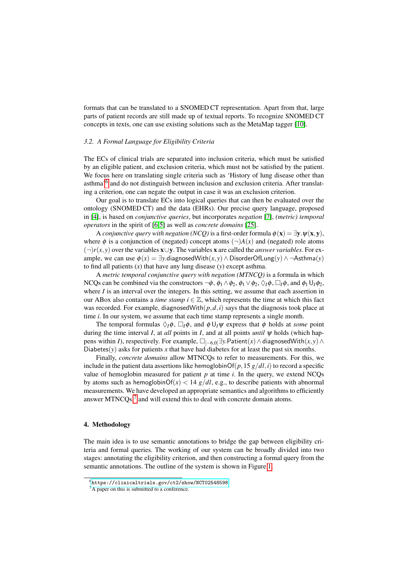formats that can be translated to a SNOMED CT representation. Apart from that, large parts of patient records are still made up of textual reports. To recognize SNOMED CT concepts in texts, one can use existing solutions such as the MetaMap tagger [\[10\]](#page-11-5).

## *3.2. A Formal Language for Eligibility Criteria*

The ECs of clinical trials are separated into inclusion criteria, which must be satisfied by an eligible patient, and exclusion criteria, which must not be satisfied by the patient. We focus here on translating single criteria such as 'History of lung disease other than asthma<sup>'[6](#page-3-0)</sup> and do not distinguish between inclusion and exclusion criteria. After translating a criterion, one can negate the output in case it was an exclusion criterion.

Our goal is to translate ECs into logical queries that can then be evaluated over the ontology (SNOMED CT) and the data (EHRs). Our precise query language, proposed in [\[4\]](#page-11-22), is based on *conjunctive queries*, but incorporates *negation* [\[7\]](#page-11-2), *(metric) temporal operators* in the spirit of [\[6,](#page-11-1)[5\]](#page-11-0) as well as *concrete domains* [\[25\]](#page-11-23).

A *conjunctive query with negation (NCQ)* is a first-order formula  $\phi(\mathbf{x}) = \exists \mathbf{y} \cdot \psi(\mathbf{x}, \mathbf{y})$ , where  $\phi$  is a conjunction of (negated) concept atoms  $(\neg)A(x)$  and (negated) role atoms (¬)*r*(*x*, *y*) over the variables x∪y. The variables x are called the *answer variables*. For example, we can use  $\phi(x) = \exists y$ .diagnosedWith $(x, y) \wedge$ DisorderOfLung $(y) \wedge \neg \text{Asthma}(y)$ to find all patients (*x*) that have any lung disease (*y*) except asthma.

A *metric temporal conjunctive query with negation (MTNCQ)* is a formula in which NCQs can be combined via the constructors  $\neg \phi$ ,  $\phi_1 \wedge \phi_2$ ,  $\phi_1 \vee \phi_2$ ,  $\Diamond_I \phi$ ,  $\Box_I \phi$ , and  $\phi_1 \cup_I \phi_2$ , where  $I$  is an interval over the integers. In this setting, we assume that each assertion in our ABox also contains a *time stamp*  $i \in \mathbb{Z}$ , which represents the time at which this fact was recorded. For example, diagnosedWith $(p,d,i)$  says that the diagnosis took place at time *i*. In our system, we assume that each time stamp represents a single month.

The temporal formulas  $\Diamond_I \phi$ ,  $\Box_I \phi$ , and  $\phi \bigcup_I \psi$  express that  $\phi$  holds at *some* point during the time interval *I*, at *all* points in *I*, and at all points *until* ψ holds (which happens within *I*), respectively. For example,  $\Box_{[-6,0]}$   $\exists$ *y*.Patient $(x) \land$  diagnosedWith $(x, y) \land$ Diabetes( $y$ ) asks for patients x that have had diabetes for at least the past six months.

Finally, *concrete domains* allow MTNCQs to refer to measurements. For this, we include in the patient data assertions like hemoglobinOf( $p$ , 15  $g/dl$ , *i*) to record a specific value of hemoglobin measured for patient  $p$  at time  $i$ . In the query, we extend NCOs by atoms such as hemoglobinOf( $x$ ) < 14  $g/dl$ , e.g., to describe patients with abnormal measurements. We have developed an appropriate semantics and algorithms to efficiently answer MTNCQs, $<sup>7</sup>$  $<sup>7</sup>$  $<sup>7</sup>$  and will extend this to deal with concrete domain atoms.</sup>

### 4. Methodology

The main idea is to use semantic annotations to bridge the gap between eligibility criteria and formal queries. The working of our system can be broadly divided into two stages: annotating the eligibility criterion, and then constructing a formal query from the semantic annotations. The outline of the system is shown in Figure [1.](#page-4-0)

<span id="page-3-0"></span> $<sup>6</sup>$ <https://clinicaltrials.gov/ct2/show/NCT02548598></sup>

<span id="page-3-1"></span><sup>&</sup>lt;sup>7</sup>A paper on this is submitted to a conference.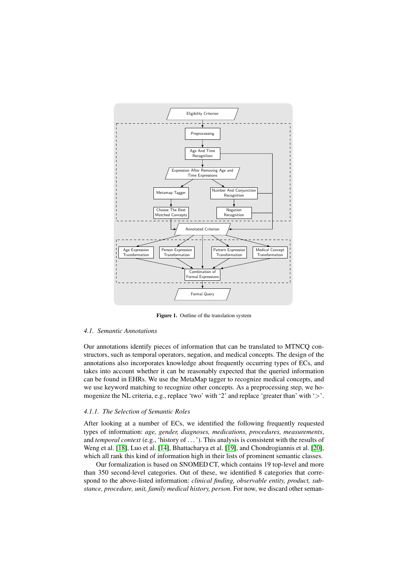

<span id="page-4-0"></span>Figure 1. Outline of the translation system

#### *4.1. Semantic Annotations*

Our annotations identify pieces of information that can be translated to MTNCQ constructors, such as temporal operators, negation, and medical concepts. The design of the annotations also incorporates knowledge about frequently occurring types of ECs, and takes into account whether it can be reasonably expected that the queried information can be found in EHRs. We use the MetaMap tagger to recognize medical concepts, and we use keyword matching to recognize other concepts. As a preprocessing step, we homogenize the NL criteria, e.g., replace 'two' with '2' and replace 'greater than' with '>'.

#### <span id="page-4-1"></span>*4.1.1. The Selection of Semantic Roles*

After looking at a number of ECs, we identified the following frequently requested types of information: *age, gender, diagnoses, medications, procedures, measurements*, and *temporal context* (e.g., 'history of . . . '). This analysis is consistent with the results of Weng et al. [\[18\]](#page-11-15), Luo et al. [\[14\]](#page-11-11), Bhattacharya et al. [\[19\]](#page-11-16), and Chondrogiannis et al. [\[20\]](#page-11-17), which all rank this kind of information high in their lists of prominent semantic classes.

Our formalization is based on SNOMED CT, which contains 19 top-level and more than 350 second-level categories. Out of these, we identified 8 categories that correspond to the above-listed information: *clinical finding, observable entity, product, substance, procedure, unit, family medical history, person.* For now, we discard other seman-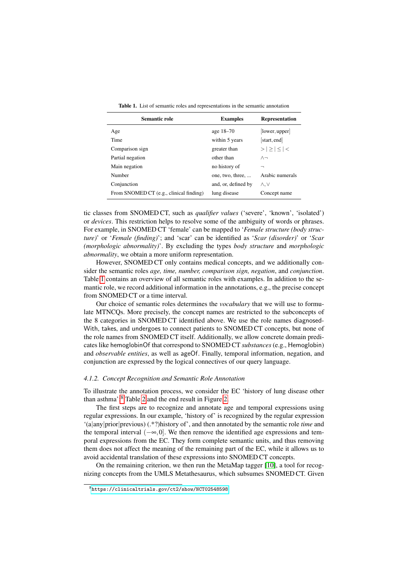| Semantic role                           | <b>Examples</b>     | <b>Representation</b> |  |
|-----------------------------------------|---------------------|-----------------------|--|
| Age                                     | age 18–70           | [lower, upper]        |  |
| Time                                    | within 5 years      | start, end            |  |
| Comparison sign                         | greater than        | $> \geq \leq <$       |  |
| Partial negation                        | other than          | $\wedge \neg$         |  |
| Main negation                           | no history of       | ⇁                     |  |
| Number                                  | one, two, three,    | Arabic numerals       |  |
| Conjunction                             | and, or, defined by | Λ.V                   |  |
| From SNOMED CT (e.g., clinical finding) | lung disease        | Concept name          |  |

<span id="page-5-0"></span>Table 1. List of semantic roles and representations in the semantic annotation

tic classes from SNOMED CT, such as *qualifier values* ('severe', 'known', 'isolated') or *devices*. This restriction helps to resolve some of the ambiguity of words or phrases. For example, in SNOMED CT 'female' can be mapped to '*Female structure (body structure)*' or '*Female (finding)*'; and 'scar' can be identified as '*Scar (disorder)*' or '*Scar (morphologic abnormality)*'. By excluding the types *body structure* and *morphologic abnormality*, we obtain a more uniform representation.

However, SNOMED CT only contains medical concepts, and we additionally consider the semantic roles *age, time, number, comparison sign, negation*, and *conjunction*. Table [1](#page-5-0) contains an overview of all semantic roles with examples. In addition to the semantic role, we record additional information in the annotations, e.g., the precise concept from SNOMED CT or a time interval.

Our choice of semantic roles determines the *vocabulary* that we will use to formulate MTNCQs. More precisely, the concept names are restricted to the subconcepts of the 8 categories in SNOMED CT identified above. We use the role names diagnosed-With, takes, and undergoes to connect patients to SNOMED CT concepts, but none of the role names from SNOMED CT itself. Additionally, we allow concrete domain predicates like hemoglobinOf that correspond to SNOMED CT *substances* (e.g., Hemoglobin) and *observable entities*, as well as ageOf. Finally, temporal information, negation, and conjunction are expressed by the logical connectives of our query language.

#### *4.1.2. Concept Recognition and Semantic Role Annotation*

To illustrate the annotation process, we consider the EC 'history of lung disease other than asthma'; $<sup>8</sup>$  $<sup>8</sup>$  $<sup>8</sup>$  Table [2](#page-6-0) and the end result in Figure [2.](#page-6-1)</sup>

The first steps are to recognize and annotate age and temporal expressions using regular expressions. In our example, 'history of' is recognized by the regular expression '(a|any|prior|previous) (.\*?)history of', and then annotated by the semantic role *time* and the temporal interval  $(-\infty, 0]$ . We then remove the identified age expressions and temporal expressions from the EC. They form complete semantic units, and thus removing them does not affect the meaning of the remaining part of the EC, while it allows us to avoid accidental translation of these expressions into SNOMED CT concepts.

On the remaining criterion, we then run the MetaMap tagger [\[10\]](#page-11-5), a tool for recognizing concepts from the UMLS Metathesaurus, which subsumes SNOMED CT. Given

<span id="page-5-1"></span><sup>8</sup><https://clinicaltrials.gov/ct2/show/NCT02548598>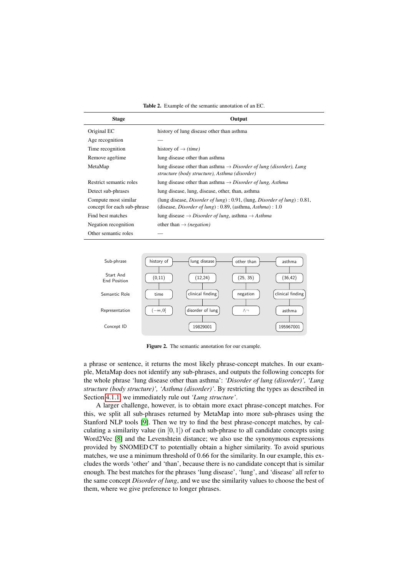<span id="page-6-0"></span>Table 2. Example of the semantic annotation of an EC.

| <b>Stage</b>                                        | Output                                                                                                                                                                   |
|-----------------------------------------------------|--------------------------------------------------------------------------------------------------------------------------------------------------------------------------|
| Original EC                                         | history of lung disease other than asthma                                                                                                                                |
| Age recognition                                     |                                                                                                                                                                          |
| Time recognition                                    | history of $\rightarrow$ (time)                                                                                                                                          |
| Remove age/time                                     | lung disease other than asthma                                                                                                                                           |
| MetaMap                                             | lung disease other than asthma $\rightarrow$ Disorder of lung (disorder), Lung<br>structure (body structure), Asthma (disorder)                                          |
| Restrict semantic roles                             | lung disease other than asthma $\rightarrow$ Disorder of lung, Asthma                                                                                                    |
| Detect sub-phrases                                  | lung disease, lung, disease, other, than, asthma                                                                                                                         |
| Compute most similar<br>concept for each sub-phrase | (lung disease, <i>Disorder of lung</i> ) : $0.91$ , (lung, <i>Disorder of lung</i> ) : $0.81$ ,<br>(disease, <i>Disorder of lung</i> ) : 0.89, (asthma, $Asthma$ ) : 1.0 |
| Find best matches                                   | lung disease $\rightarrow$ Disorder of lung, asthma $\rightarrow$ Asthma                                                                                                 |
| Negation recognition                                | other than $\rightarrow$ ( <i>negation</i> )                                                                                                                             |
| Other semantic roles                                |                                                                                                                                                                          |



<span id="page-6-1"></span>Figure 2. The semantic annotation for our example.

a phrase or sentence, it returns the most likely phrase-concept matches. In our example, MetaMap does not identify any sub-phrases, and outputs the following concepts for the whole phrase 'lung disease other than asthma': *'Disorder of lung (disorder)', 'Lung structure (body structure)', 'Asthma (disorder)'*. By restricting the types as described in Section [4.1.1,](#page-4-1) we immediately rule out *'Lung structure'*.

A larger challenge, however, is to obtain more exact phrase-concept matches. For this, we split all sub-phrases returned by MetaMap into more sub-phrases using the Stanford NLP tools [\[9\]](#page-11-4). Then we try to find the best phrase-concept matches, by calculating a similarity value (in  $[0,1]$ ) of each sub-phrase to all candidate concepts using Word2Vec [\[8\]](#page-11-3) and the Levenshtein distance; we also use the synonymous expressions provided by SNOMED CT to potentially obtain a higher similarity. To avoid spurious matches, we use a minimum threshold of 0.66 for the similarity. In our example, this excludes the words 'other' and 'than', because there is no candidate concept that is similar enough. The best matches for the phrases 'lung disease', 'lung', and 'disease' all refer to the same concept *Disorder of lung*, and we use the similarity values to choose the best of them, where we give preference to longer phrases.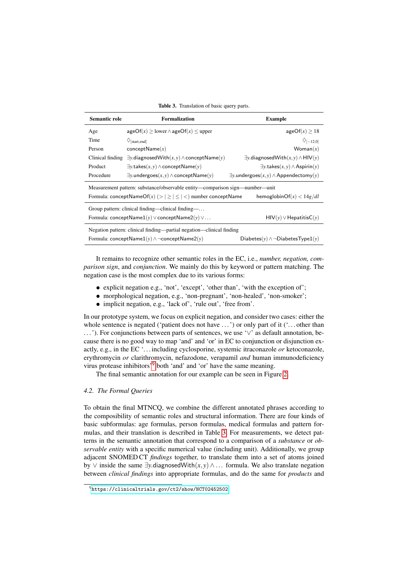<span id="page-7-1"></span>Table 3. Translation of basic query parts.

| Semantic role                                                                                                  | <b>Formalization</b>                                         | <b>Example</b>                                           |  |  |  |
|----------------------------------------------------------------------------------------------------------------|--------------------------------------------------------------|----------------------------------------------------------|--|--|--|
| Age                                                                                                            | $ageOf(x) > lower \land ageOf(x) < upper$                    | ageOf(x) > 18                                            |  |  |  |
| Time                                                                                                           | $\Diamond$ [start.end]                                       | $\Diamond$ [-12.0]                                       |  |  |  |
| Person                                                                                                         | conceptName(x)                                               | W <sub>oman</sub> (x)                                    |  |  |  |
| Clinical finding                                                                                               | $\exists y$ .diagnosedWith $(x, y) \wedge$ conceptName $(y)$ | $\exists y$ .diagnosedWith $(x, y) \wedge$ HIV $(y)$     |  |  |  |
| Product                                                                                                        | $\exists y.$ takes $(x, y) \wedge$ conceptName $(y)$         | $\exists y.$ takes $(x, y) \wedge$ Aspirin $(y)$         |  |  |  |
| Procedure                                                                                                      | $\exists$ y.undergoes $(x, y) \wedge$ conceptName $(y)$      | $\exists$ y.undergoes $(x, y) \wedge$ Appendectomy $(y)$ |  |  |  |
| Measurement pattern: substance/observable entity—comparison sign—number—unit                                   |                                                              |                                                          |  |  |  |
| Formula: conceptNameOf(x) (> $  \geq   \leq   \lt$ ) number conceptName<br>hemoglobin $\text{Of}(x) < 14g/dl$  |                                                              |                                                          |  |  |  |
| Group pattern: clinical finding—clinical finding—                                                              |                                                              |                                                          |  |  |  |
| Formula: conceptName1(y) $\lor$ conceptName2(y) $\lor \dots$<br>$HIV(y) \vee HepatitisC(y)$                    |                                                              |                                                          |  |  |  |
| Negation pattern: clinical finding—partial negation—clinical finding                                           |                                                              |                                                          |  |  |  |
| Formula: conceptName1(y) $\land \neg \text{conceptName2}(y)$<br>Diabetes $(y) \wedge \neg$ DiabetesType1 $(y)$ |                                                              |                                                          |  |  |  |

It remains to recognize other semantic roles in the EC, i.e., *number, negation, comparison sign*, and *conjunction*. We mainly do this by keyword or pattern matching. The negation case is the most complex due to its various forms:

- explicit negation e.g., 'not', 'except', 'other than', 'with the exception of';
- morphological negation, e.g., 'non-pregnant', 'non-healed', 'non-smoker';
- implicit negation, e.g., 'lack of', 'rule out', 'free from'.

In our prototype system, we focus on explicit negation, and consider two cases: either the whole sentence is negated ('patient does not have  $\dots$ ') or only part of it (' $\dots$  other than ...'). For conjunctions between parts of sentences, we use '∨' as default annotation, because there is no good way to map 'and' and 'or' in EC to conjunction or disjunction exactly, e.g., in the EC '. . . including cyclosporine, systemic itraconazole *or* ketoconazole, erythromycin *or* clarithromycin, nefazodone, verapamil *and* human immunodeficiency virus protease inhibitors'[9](#page-7-0) both 'and' and 'or' have the same meaning.

The final semantic annotation for our example can be seen in Figure [2.](#page-6-1)

#### *4.2. The Formal Queries*

To obtain the final MTNCQ, we combine the different annotated phrases according to the composibility of semantic roles and structural information. There are four kinds of basic subformulas: age formulas, person formulas, medical formulas and pattern formulas, and their translation is described in Table [3.](#page-7-1) For measurements, we detect patterns in the semantic annotation that correspond to a comparison of a *substance* or *observable entity* with a specific numerical value (including unit). Additionally, we group adjacent SNOMED CT *findings* together, to translate them into a set of atoms joined by ∨ inside the same ∃*y*.diagnosedWith(*x*, *y*)∧... formula. We also translate negation between *clinical findings* into appropriate formulas, and do the same for *products* and

<span id="page-7-0"></span><sup>9</sup><https://clinicaltrials.gov/ct2/show/NCT02452502>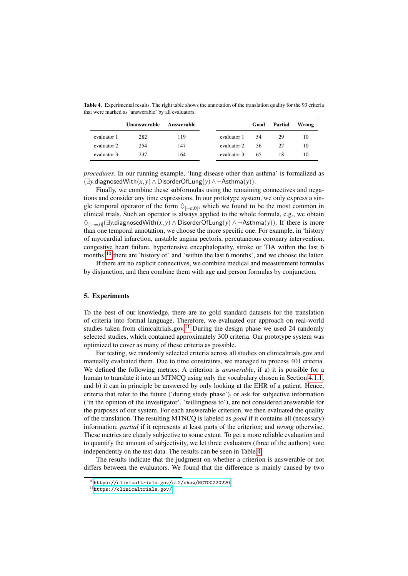<span id="page-8-2"></span>Table 4. Experimental results. The right table shows the annotation of the translation quality for the 93 criteria that were marked as 'answerable' by all evaluators.

|             | <b>Unanswerable</b> | Answerable |             | Good | Partial | Wrong |
|-------------|---------------------|------------|-------------|------|---------|-------|
| evaluator 1 | 282                 | 119        | evaluator 1 | 54   | 29      | 10    |
| evaluator 2 | 254                 | 147        | evaluator 2 | 56   | 27      | 10    |
| evaluator 3 | 237                 | 164        | evaluator 3 | 65   | 18      | 10    |

*procedures*. In our running example, 'lung disease other than asthma' is formalized as (∃*y*.diagnosedWith(*x*, *y*)∧DisorderOfLung(*y*)∧ ¬Asthma(*y*)).

Finally, we combine these subformulas using the remaining connectives and negations and consider any time expressions. In our prototype system, we only express a single temporal operator of the form  $\Diamond_{[-n,0]},$  which we found to be the most common in clinical trials. Such an operator is always applied to the whole formula, e.g., we obtain ♦(−∞,0] (∃*y*.diagnosedWith(*x*, *y*) ∧ DisorderOfLung(*y*) ∧ ¬Asthma(*y*)). If there is more than one temporal annotation, we choose the more specific one. For example, in 'history of myocardial infarction, unstable angina pectoris, percutaneous coronary intervention, congestive heart failure, hypertensive encephalopathy, stroke or TIA within the last 6 months<sup> $10$ </sup> there are 'history of' and 'within the last 6 months', and we choose the latter.

If there are no explicit connectives, we combine medical and measurement formulas by disjunction, and then combine them with age and person formulas by conjunction.

# 5. Experiments

To the best of our knowledge, there are no gold standard datasets for the translation of criteria into formal language. Therefore, we evaluated our approach on real-world studies taken from clinicaltrials.gov.<sup>[11](#page-8-1)</sup> During the design phase we used 24 randomly selected studies, which contained approximately 300 criteria. Our prototype system was optimized to cover as many of these criteria as possible.

For testing, we randomly selected criteria across all studies on clinicaltrials.gov and manually evaluated them. Due to time constraints, we managed to process 401 criteria. We defined the following metrics: A criterion is *answerable*, if a) it is possible for a human to translate it into an MTNCQ using only the vocabulary chosen in Section [4.1.1;](#page-4-1) and b) it can in principle be answered by only looking at the EHR of a patient. Hence, criteria that refer to the future ('during study phase'), or ask for subjective information ('in the opinion of the investigator', 'willingness to'), are not considered answerable for the purposes of our system. For each answerable criterion, we then evaluated the quality of the translation. The resulting MTNCQ is labeled as *good* if it contains all (necessary) information; *partial* if it represents at least parts of the criterion; and *wrong* otherwise. These metrics are clearly subjective to some extent. To get a more reliable evaluation and to quantify the amount of subjectivity, we let three evaluators (three of the authors) vote independently on the test data. The results can be seen in Table [4.](#page-8-2)

The results indicate that the judgment on whether a criterion is answerable or not differs between the evaluators. We found that the difference is mainly caused by two

<span id="page-8-0"></span><sup>10</sup><https://clinicaltrials.gov/ct2/show/NCT00220220>

<span id="page-8-1"></span><sup>11</sup><https://clinicaltrials.gov/>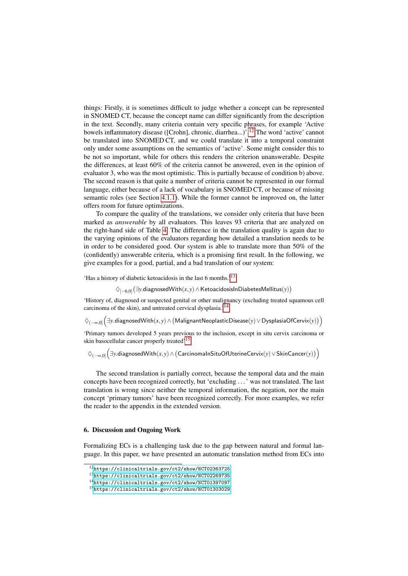things: Firstly, it is sometimes difficult to judge whether a concept can be represented in SNOMED CT, because the concept name can differ significantly from the description in the text. Secondly, many criteria contain very specific phrases, for example 'Active bowels inflammatory disease ([Crohn], chronic, diarrhea...)'.[12](#page-9-0) The word 'active' cannot be translated into SNOMED CT, and we could translate it into a temporal constraint only under some assumptions on the semantics of 'active'. Some might consider this to be not so important, while for others this renders the criterion unanswerable. Despite the differences, at least 60% of the criteria cannot be answered, even in the opinion of evaluator 3, who was the most optimistic. This is partially because of condition b) above. The second reason is that quite a number of criteria cannot be represented in our formal language, either because of a lack of vocabulary in SNOMED CT, or because of missing semantic roles (see Section [4.1.1\)](#page-4-1). While the former cannot be improved on, the latter offers room for future optimizations.

To compare the quality of the translations, we consider only criteria that have been marked as *answerable* by all evaluators. This leaves 93 criteria that are analyzed on the right-hand side of Table [4.](#page-8-2) The difference in the translation quality is again due to the varying opinions of the evaluators regarding how detailed a translation needs to be in order to be considered good. Our system is able to translate more than 50% of the (confidently) answerable criteria, which is a promising first result. In the following, we give examples for a good, partial, and a bad translation of our system:

'Has a history of diabetic ketoacidosis in the last 6 months.'[13](#page-9-1)

♦[−6,0] ∃*y*.diagnosedWith(*x*, *y*)∧KetoacidosisInDiabetesMellitus(*y*)

'History of, diagnosed or suspected genital or other malignancy (excluding treated squamous cell carcinoma of the skin), and untreated cervical dysplasia.'[14](#page-9-2)

♦(−∞,0] ∃*y*.diagnosedWith(*x*, *y*)∧ MalignantNeoplasticDisease(*y*)∨DysplasiaOfCervix(*y*)

'Primary tumors developed 5 years previous to the inclusion, except in situ cervix carcinoma or skin basocellular cancer properly treated'[15](#page-9-3)

♦(−∞,0] ∃*y*.diagnosedWith(*x*, *y*)∧ CarcinomaInSituOfUterineCervix(*y*)∨SkinCancer(*y*)

The second translation is partially correct, because the temporal data and the main concepts have been recognized correctly, but 'excluding . . . ' was not translated. The last translation is wrong since neither the temporal information, the negation, nor the main concept 'primary tumors' have been recognized correctly. For more examples, we refer the reader to the appendix in the extended version.

# 6. Discussion and Ongoing Work

Formalizing ECs is a challenging task due to the gap between natural and formal language. In this paper, we have presented an automatic translation method from ECs into

<span id="page-9-0"></span><sup>12</sup><https://clinicaltrials.gov/ct2/show/NCT02363725>

<span id="page-9-1"></span><sup>13</sup><https://clinicaltrials.gov/ct2/show/NCT02269735>

<span id="page-9-2"></span><sup>14</sup><https://clinicaltrials.gov/ct2/show/NCT01397097>

<span id="page-9-3"></span><sup>15</sup><https://clinicaltrials.gov/ct2/show/NCT01303029>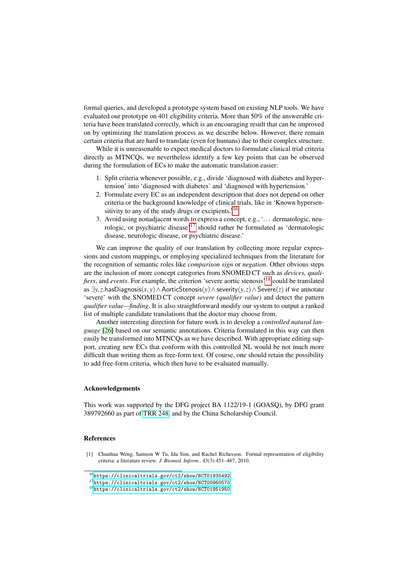formal queries, and developed a prototype system based on existing NLP tools. We have evaluated our prototype on 401 eligibility criteria. More than 50% of the answerable criteria have been translated correctly, which is an encouraging result that can be improved on by optimizing the translation process as we describe below. However, there remain certain criteria that are hard to translate (even for humans) due to their complex structure.

While it is unreasonable to expect medical doctors to formulate clinical trial criteria directly as MTNCQs, we nevertheless identify a few key points that can be observed during the formulation of ECs to make the automatic translation easier:

- 1. Split criteria whenever possible, e.g., divide 'diagnosed with diabetes and hypertension' into 'diagnosed with diabetes' and 'diagnosed with hypertension.'
- 2. Formulate every EC as an independent description that does not depend on other criteria or the background knowledge of clinical trials, like in 'Known hypersen-sitivity to any of the study drugs or excipients.<sup>'[16](#page-10-1)</sup>
- 3. Avoid using nonadjacent words to express a concept, e.g., '. . . dermatologic, neu-rologic, or psychiatric disease'<sup>[17](#page-10-2)</sup> should rather be formulated as 'dermatologic disease, neurologic disease, or psychiatric disease.'

We can improve the quality of our translation by collecting more regular expressions and custom mappings, or employing specialized techniques from the literature for the recognition of semantic roles like *comparison sign* or *negation*. Other obvious steps are the inclusion of more concept categories from SNOMED CT such as *devices, qualifiers*, and *events*. For example, the criterion 'severe aortic stenosis'[18](#page-10-3) could be translated as ∃*y*,*z*.hasDiagnosis(*x*, *y*)∧AorticStenosis(*y*)∧severity(*y*,*z*)∧Severe(*z*) if we annotate 'severe' with the SNOMED CT concept *severe (qualifier value)* and detect the pattern *qualifier value—finding*. It is also straightforward modify our system to output a ranked list of multiple candidate translations that the doctor may choose from.

Another interesting direction for future work is to develop a *controlled natural language* [\[26\]](#page-11-24) based on our semantic annotations. Criteria formulated in this way can then easily be transformed into MTNCQs as we have described. With appropriate editing support, creating new ECs that conform with this controlled NL would be not much more difficult than writing them as free-form text. Of course, one should retain the possibility to add free-form criteria, which then have to be evaluated manually.

#### Acknowledgements

This work was supported by the DFG project BA 1122/19-1 (GOASQ), by DFG grant 389792660 as part of [TRR 248,](https://perspicuous-computing.science) and by the China Scholarship Council.

## References

<span id="page-10-0"></span>[1] Chunhua Weng, Samson W Tu, Ida Sim, and Rachel Richesson. Formal representation of eligibility criteria: a literature review. *J. Biomed. Inform.*, 43(3):451–467, 2010.

<span id="page-10-1"></span><sup>16</sup><https://clinicaltrials.gov/ct2/show/NCT01935492>

<span id="page-10-2"></span><sup>17</sup><https://clinicaltrials.gov/ct2/show/NCT00960570>

<span id="page-10-3"></span><sup>18</sup><https://clinicaltrials.gov/ct2/show/NCT01951950>